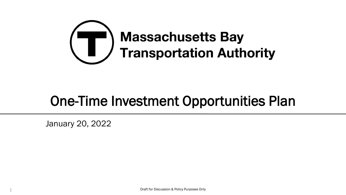

# One-Time Investment Opportunities Plan

January 20, 2022

1 Draft for Discussion & Policy Purposes Only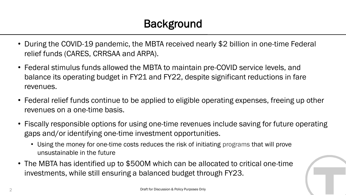- During the COVID-19 pandemic, the MBTA received nearly \$2 billion in one-time Federal relief funds (CARES, CRRSAA and ARPA).
- Federal stimulus funds allowed the MBTA to maintain pre-COVID service levels, and balance its operating budget in FY21 and FY22, despite significant reductions in fare revenues.
- Federal relief funds continue to be applied to eligible operating expenses, freeing up other revenues on a one-time basis.
- Fiscally responsible options for using one-time revenues include saving for future operating gaps and/or identifying one-time investment opportunities.
	- Using the money for one-time costs reduces the risk of initiating programs that will prove unsustainable in the future
- The MBTA has identified up to \$500M which can be allocated to critical one-time investments, while still ensuring a balanced budget through FY23.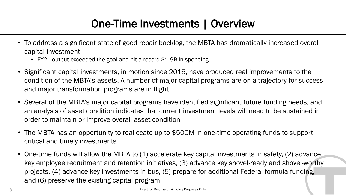### One-Time Investments | Overview

- To address a significant state of good repair backlog, the MBTA has dramatically increased overall capital investment
	- FY21 output exceeded the goal and hit a record \$1.9B in spending
- Significant capital investments, in motion since 2015, have produced real improvements to the condition of the MBTA's assets. A number of major capital programs are on a trajectory for success and major transformation programs are in flight
- Several of the MBTA's major capital programs have identified significant future funding needs, and an analysis of asset condition indicates that current investment levels will need to be sustained in order to maintain or improve overall asset condition
- The MBTA has an opportunity to reallocate up to \$500M in one-time operating funds to support critical and timely investments
- One-time funds will allow the MBTA to (1) accelerate key capital investments in safety, (2) advance key employee recruitment and retention initiatives, (3) advance key shovel-ready and shovel-worthy projects, (4) advance key investments in bus, (5) prepare for additional Federal formula funding, and (6) preserve the existing capital program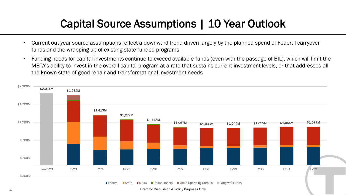## Capital Source Assumptions | 10 Year Outlook

- Current out-year source assumptions reflect a downward trend driven largely by the planned spend of Federal carryover funds and the wrapping up of existing state funded programs
- Funding needs for capital investments continue to exceed available funds (even with the passage of BIL), which will limit the MBTA's ability to invest in the overall capital program at a rate that sustains current investment levels, or that addresses all the known state of good repair and transformational investment needs



4 Draft for Discussion & Policy Purposes Only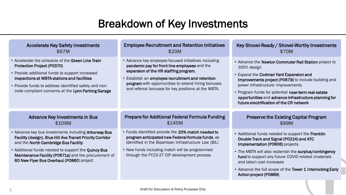### Breakdown of Key Investments

| <b>Accelerate Key Safety Investments</b><br>\$67M<br>• Accelerate the schedule of the Green Line Train<br><b>Protection Project (P0370)</b><br>• Provide additional funds to support increased<br>inspections at MBTA stations and facilities<br>• Provide funds to address identified safety and non-<br>code compliant concerns at the Lynn Parking Garage | <b>Employee Recruitment and Retention Initiatives</b><br>\$20M<br>• Advance key employee focused initiatives including<br>pandemic pay for front line employees and the<br>expansion of the HR staffing program.<br>• Establish an employee recruitment and retention<br>program with opportunities to extend hiring bonuses<br>and referral bonuses for key positions at the MBTA. | Key Shovel-Ready / Shovel-Worthy Investments<br>\$70M<br>• Advance the Newton Commuter Rail Station project to<br>100% design<br>• Expand the Codman Yard Expansion and<br>Improvements project (P0679) to include building and<br>power infrastructure improvements<br>• Program funds for potential near-term real estate<br>opportunities and advance infrastructure planning for<br>future electrification of the CR network |
|--------------------------------------------------------------------------------------------------------------------------------------------------------------------------------------------------------------------------------------------------------------------------------------------------------------------------------------------------------------|-------------------------------------------------------------------------------------------------------------------------------------------------------------------------------------------------------------------------------------------------------------------------------------------------------------------------------------------------------------------------------------|----------------------------------------------------------------------------------------------------------------------------------------------------------------------------------------------------------------------------------------------------------------------------------------------------------------------------------------------------------------------------------------------------------------------------------|
| <b>Advance Key Investments in Bus</b><br>\$109M                                                                                                                                                                                                                                                                                                              | <b>Prepare for Additional Federal Formula Funding</b><br>\$145M                                                                                                                                                                                                                                                                                                                     | <b>Preserve the Existing Capital Program</b><br>\$89M                                                                                                                                                                                                                                                                                                                                                                            |
| • Advance key bus investments including Arborway Bus<br>Facility (design), Blue Hill Ave Transit Priority Corridor<br>and the North Cambridge Bus Facility                                                                                                                                                                                                   | • Funds identified provide the 20% match needed to<br>program anticipated new Federal formula funds, as<br>identified in the Bipartisan Infrastructure Law (BIL)                                                                                                                                                                                                                    | • Additional funds needed to support the Franklin<br>Double Track and Signal (P0214) and ATC<br>Implementation (P0606) projects                                                                                                                                                                                                                                                                                                  |
| . Additional funds needed to support the Quincy Bus<br>Maintenance Facility (P0671a) and the procurement of<br>60 New Flyer Bus Overhaul (P0860) project                                                                                                                                                                                                     | • New funds including match will be programmed<br>through the FY23-27 CIP development process                                                                                                                                                                                                                                                                                       | • The MBTA will also replenish the surplus/contingency<br>fund to support any future COVID related (materials<br>and labor) cost increases                                                                                                                                                                                                                                                                                       |
|                                                                                                                                                                                                                                                                                                                                                              |                                                                                                                                                                                                                                                                                                                                                                                     | • Advance the full scope of the Tower 1 Interlocking Early                                                                                                                                                                                                                                                                                                                                                                       |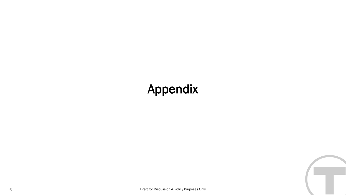# Appendix

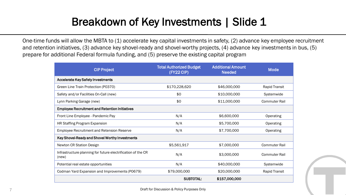### Breakdown of Key Investments | Slide 1

One-time funds will allow the MBTA to (1) accelerate key capital investments in safety, (2) advance key employee recruitment and retention initiatives, (3) advance key shovel-ready and shovel-worthy projects, (4) advance key investments in bus, (5) prepare for additional Federal formula funding, and (5) preserve the existing capital program

| <b>CIP Project</b>                                                    | <b>Total Authorized Budget</b><br>(FY22 CIP) | <b>Additional Amount</b><br><b>Needed</b> | <b>Mode</b>          |
|-----------------------------------------------------------------------|----------------------------------------------|-------------------------------------------|----------------------|
| <b>Accelerate Key Safety Investments</b>                              |                                              |                                           |                      |
| Green Line Train Protection (P0370)                                   | \$170,228,620                                | \$46,000,000                              | Rapid Transit        |
| Safety and/or Facilities On-Call (new)                                | \$0                                          | \$10,000,000                              | Systemwide           |
| Lynn Parking Garage (new)                                             | \$0                                          | \$11,000,000                              | <b>Commuter Rail</b> |
| <b>Employee Recruitment and Retention Initiatives</b>                 |                                              |                                           |                      |
| Front Line Employee - Pandemic Pay                                    | N/A                                          | \$6,600,000                               | <b>Operating</b>     |
| HR Staffing Program Expansion                                         | N/A                                          | \$5,700,000                               | Operating            |
| <b>Employee Recruitment and Retension Reserve</b>                     | N/A                                          | \$7,700,000                               | Operating            |
| Key Shovel-Ready and Shovel Worthy Investments                        |                                              |                                           |                      |
| Newton CR Station Design                                              | \$5,561,917                                  | \$7,000,000                               | <b>Commuter Rail</b> |
| Infrastructure planning for future electrification of the CR<br>(new) | N/A                                          | \$3,000,000                               | <b>Commuter Rail</b> |
| Potential real estate opportunities                                   | N/A                                          | \$40,000,000                              | Systemwide           |
| Codman Yard Expansion and Improvements (P0679)                        | \$79,000,000                                 | \$20,000,000                              | <b>Rapid Transit</b> |
|                                                                       | <b>SUBTOTAL:</b>                             | \$157,000,000                             |                      |

7 Draft for Discussion & Policy Purposes Only